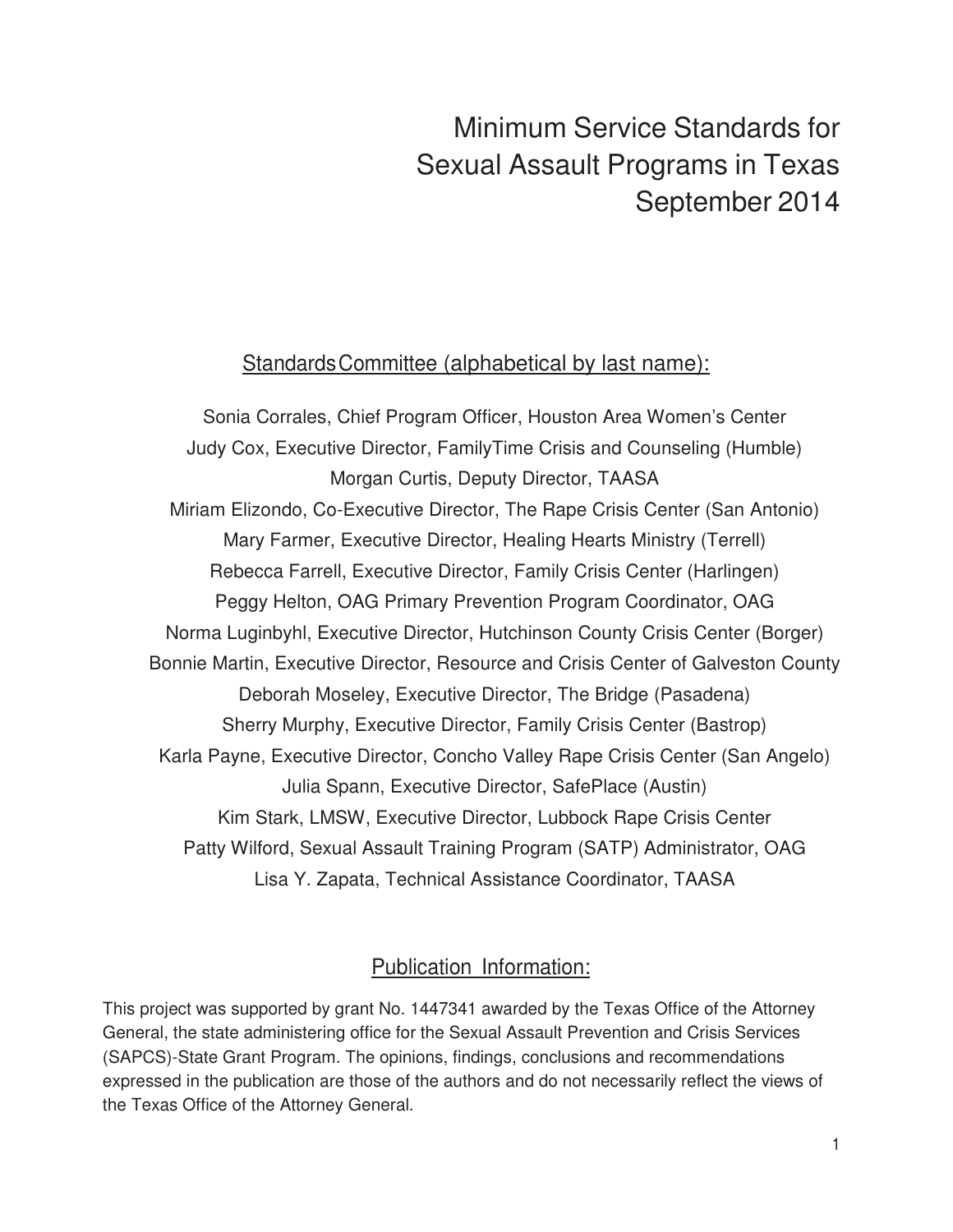# Minimum Service Standards for Sexual Assault Programs in Texas September 2014

### Standards Committee (alphabetical by last name):

Sonia Corrales, Chief Program Officer, Houston Area Women's Center Judy Cox, Executive Director, FamilyTime Crisis and Counseling (Humble) Morgan Curtis, Deputy Director, TAASA Miriam Elizondo, Co-Executive Director, The Rape Crisis Center (San Antonio) Mary Farmer, Executive Director, Healing Hearts Ministry (Terrell) Rebecca Farrell, Executive Director, Family Crisis Center (Harlingen) Peggy Helton, OAG Primary Prevention Program Coordinator, OAG Norma Luginbyhl, Executive Director, Hutchinson County Crisis Center (Borger) Bonnie Martin, Executive Director, Resource and Crisis Center of Galveston County Deborah Moseley, Executive Director, The Bridge (Pasadena) Sherry Murphy, Executive Director, Family Crisis Center (Bastrop) Karla Payne, Executive Director, Concho Valley Rape Crisis Center (San Angelo) Julia Spann, Executive Director, SafePlace (Austin) Kim Stark, LMSW, Executive Director, Lubbock Rape Crisis Center Patty Wilford, Sexual Assault Training Program (SATP) Administrator, OAG Lisa Y. Zapata, Technical Assistance Coordinator, TAASA

### Publication Information:

This project was supported by grant No. 1447341 awarded by the Texas Office of the Attorney General, the state administering office for the Sexual Assault Prevention and Crisis Services (SAPCS)-State Grant Program. The opinions, findings, conclusions and recommendations expressed in the publication are those of the authors and do not necessarily reflect the views of the Texas Office of the Attorney General.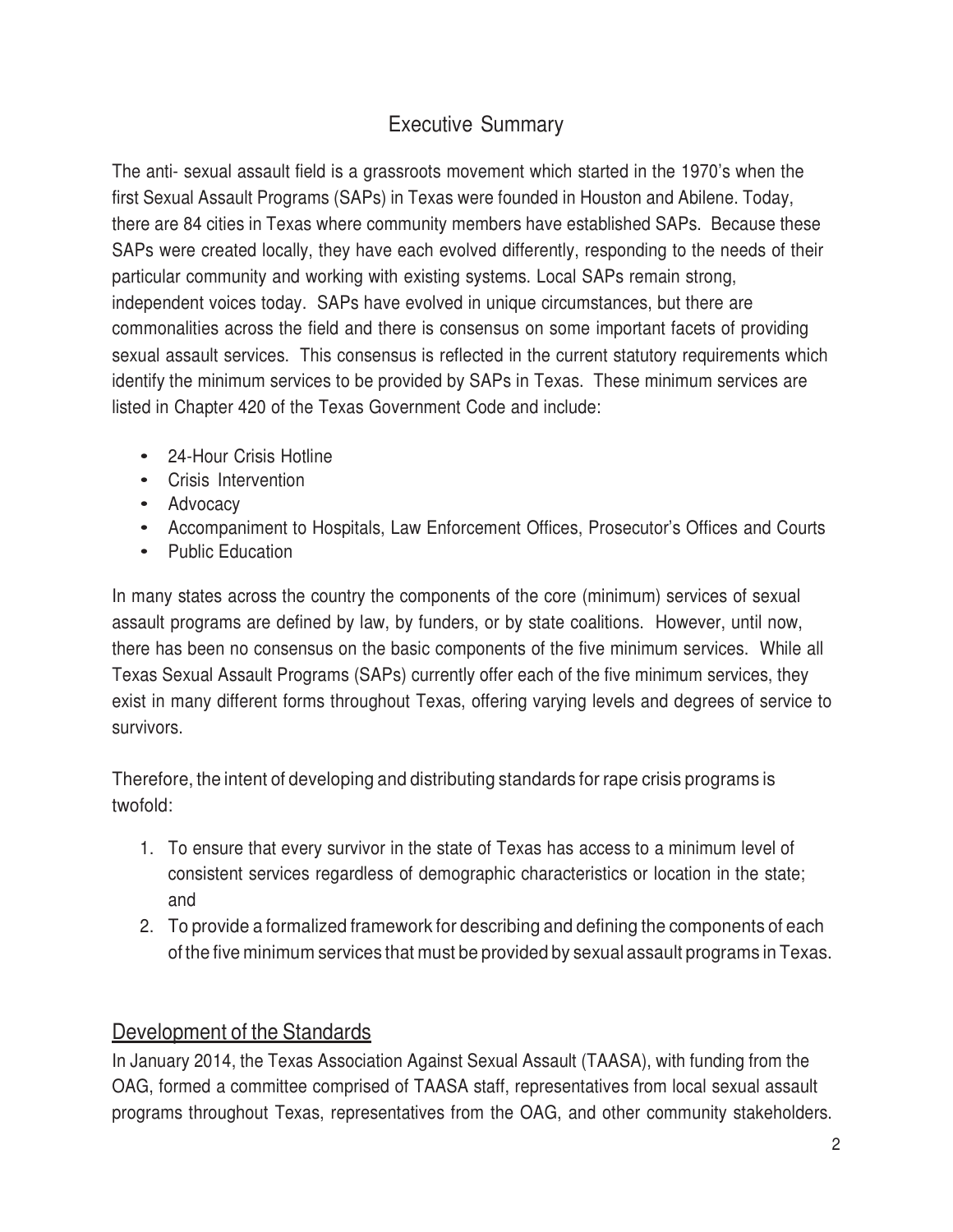# Executive Summary

The anti- sexual assault field is a grassroots movement which started in the 1970's when the first Sexual Assault Programs (SAPs) in Texas were founded in Houston and Abilene. Today, there are 84 cities in Texas where community members have established SAPs. Because these SAPs were created locally, they have each evolved differently, responding to the needs of their particular community and working with existing systems. Local SAPs remain strong, independent voices today. SAPs have evolved in unique circumstances, but there are commonalities across the field and there is consensus on some important facets of providing sexual assault services. This consensus is reflected in the current statutory requirements which identify the minimum services to be provided by SAPs in Texas. These minimum services are listed in Chapter 420 of the Texas Government Code and include:

- 24-Hour Crisis Hotline
- Crisis Intervention
- Advocacy
- Accompaniment to Hospitals, Law Enforcement Offices, Prosecutor's Offices and Courts
- Public Education

In many states across the country the components of the core (minimum) services of sexual assault programs are defined by law, by funders, or by state coalitions. However, until now, there has been no consensus on the basic components of the five minimum services. While all Texas Sexual Assault Programs (SAPs) currently offer each of the five minimum services, they exist in many different forms throughout Texas, offering varying levels and degrees of service to survivors.

Therefore, the intent of developing and distributing standards for rape crisis programs is twofold:

- 1. To ensure that every survivor in the state of Texas has access to a minimum level of consistent services regardless of demographic characteristics or location in the state; and
- 2. To provide a formalized framework for describing and defining the components of each of the five minimum services that must be provided by sexual assault programs in Texas.

#### Development of the Standards

In January 2014, the Texas Association Against Sexual Assault (TAASA), with funding from the OAG, formed a committee comprised of TAASA staff, representatives from local sexual assault programs throughout Texas, representatives from the OAG, and other community stakeholders.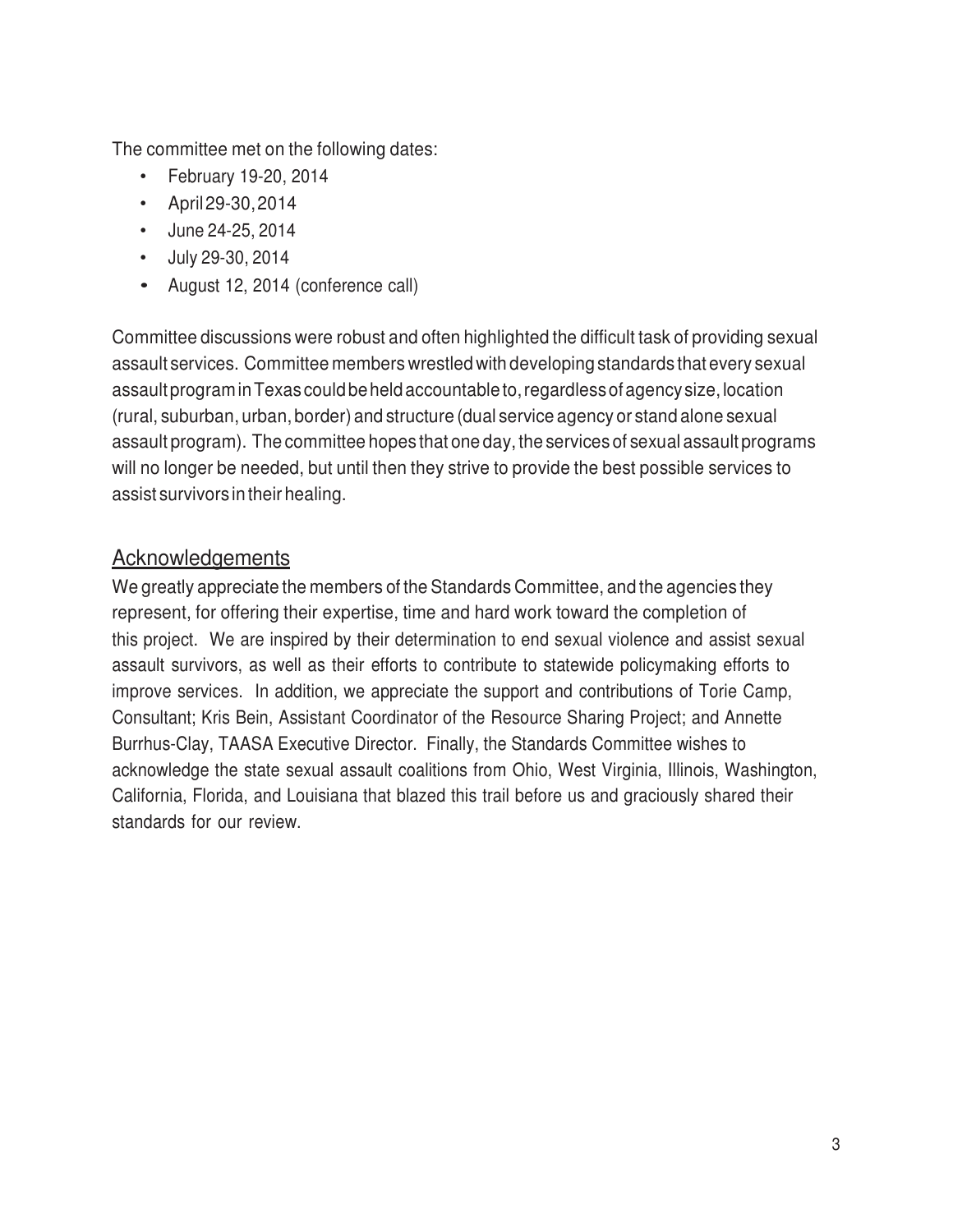The committee met on the following dates:

- February 19-20, 2014
- April 29-30, 2014
- June 24-25, 2014
- July 29-30, 2014
- August 12, 2014 (conference call)

Committee discussions were robust and often highlighted the difficult task of providing sexual assault services. Committee members wrestled with developing standards that every sexual assault program in Texas could be held accountable to, regardless of agency size, location (rural, suburban, urban, border) and structure (dual service agency or stand alone sexual assault program). The committee hopes that one day, the services of sexual assault programs will no longer be needed, but until then they strive to provide the best possible services to assist survivors in their healing.

#### **Acknowledgements**

We greatly appreciate the members of the Standards Committee, and the agencies they represent, for offering their expertise, time and hard work toward the completion of this project. We are inspired by their determination to end sexual violence and assist sexual assault survivors, as well as their efforts to contribute to statewide policymaking efforts to improve services. In addition, we appreciate the support and contributions of Torie Camp, Consultant; Kris Bein, Assistant Coordinator of the Resource Sharing Project; and Annette Burrhus-Clay, TAASA Executive Director. Finally, the Standards Committee wishes to acknowledge the state sexual assault coalitions from Ohio, West Virginia, Illinois, Washington, California, Florida, and Louisiana that blazed this trail before us and graciously shared their standards for our review.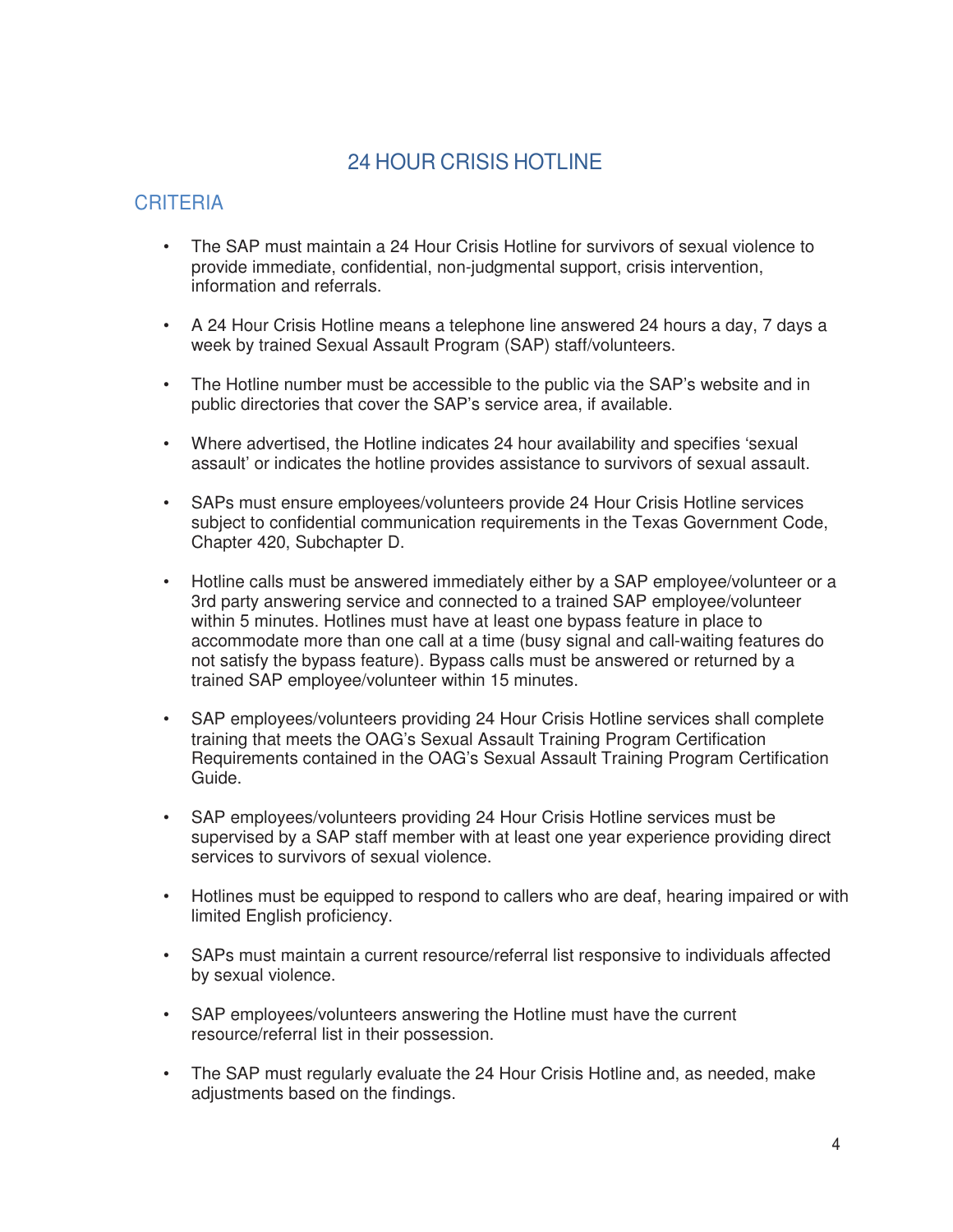# 24 HOUR CRISIS HOTLINE

- The SAP must maintain a 24 Hour Crisis Hotline for survivors of sexual violence to provide immediate, confidential, non-judgmental support, crisis intervention, information and referrals.
- A 24 Hour Crisis Hotline means a telephone line answered 24 hours a day, 7 days a week by trained Sexual Assault Program (SAP) staff/volunteers.
- The Hotline number must be accessible to the public via the SAP's website and in public directories that cover the SAP's service area, if available.
- Where advertised, the Hotline indicates 24 hour availability and specifies 'sexual assault' or indicates the hotline provides assistance to survivors of sexual assault.
- SAPs must ensure employees/volunteers provide 24 Hour Crisis Hotline services subject to confidential communication requirements in the Texas Government Code, Chapter 420, Subchapter D.
- Hotline calls must be answered immediately either by a SAP employee/volunteer or a 3rd party answering service and connected to a trained SAP employee/volunteer within 5 minutes. Hotlines must have at least one bypass feature in place to accommodate more than one call at a time (busy signal and call-waiting features do not satisfy the bypass feature). Bypass calls must be answered or returned by a trained SAP employee/volunteer within 15 minutes.
- SAP employees/volunteers providing 24 Hour Crisis Hotline services shall complete training that meets the OAG's Sexual Assault Training Program Certification Requirements contained in the OAG's Sexual Assault Training Program Certification Guide.
- SAP employees/volunteers providing 24 Hour Crisis Hotline services must be supervised by a SAP staff member with at least one year experience providing direct services to survivors of sexual violence.
- Hotlines must be equipped to respond to callers who are deaf, hearing impaired or with limited English proficiency.
- SAPs must maintain a current resource/referral list responsive to individuals affected by sexual violence.
- SAP employees/volunteers answering the Hotline must have the current resource/referral list in their possession.
- The SAP must regularly evaluate the 24 Hour Crisis Hotline and, as needed, make adjustments based on the findings.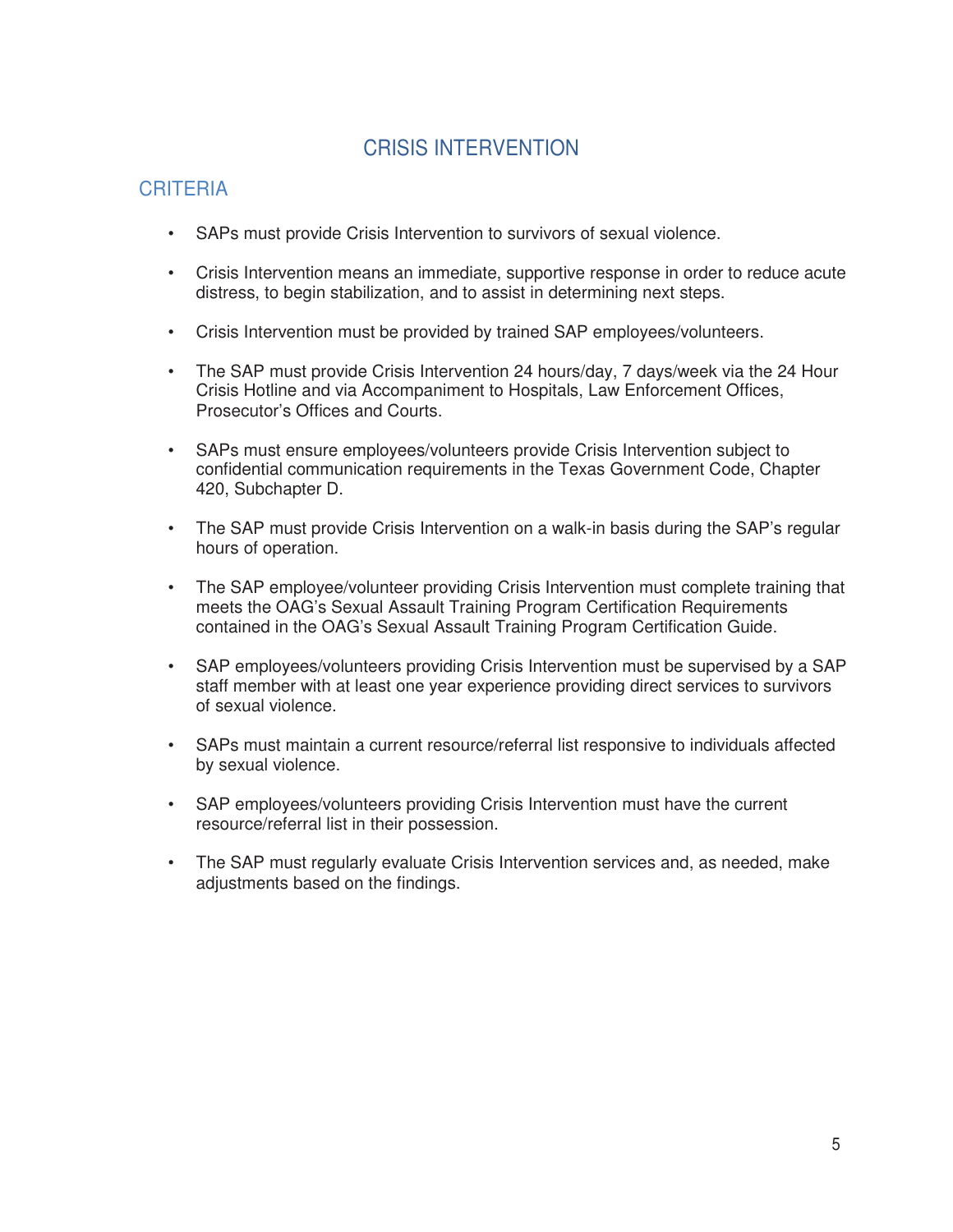# CRISIS INTERVENTION

- SAPs must provide Crisis Intervention to survivors of sexual violence.
- Crisis Intervention means an immediate, supportive response in order to reduce acute distress, to begin stabilization, and to assist in determining next steps.
- Crisis Intervention must be provided by trained SAP employees/volunteers.
- The SAP must provide Crisis Intervention 24 hours/day, 7 days/week via the 24 Hour Crisis Hotline and via Accompaniment to Hospitals, Law Enforcement Offices, Prosecutor's Offices and Courts.
- SAPs must ensure employees/volunteers provide Crisis Intervention subject to confidential communication requirements in the Texas Government Code, Chapter 420, Subchapter D.
- The SAP must provide Crisis Intervention on a walk-in basis during the SAP's regular hours of operation.
- The SAP employee/volunteer providing Crisis Intervention must complete training that meets the OAG's Sexual Assault Training Program Certification Requirements contained in the OAG's Sexual Assault Training Program Certification Guide.
- SAP employees/volunteers providing Crisis Intervention must be supervised by a SAP staff member with at least one year experience providing direct services to survivors of sexual violence.
- SAPs must maintain a current resource/referral list responsive to individuals affected by sexual violence.
- SAP employees/volunteers providing Crisis Intervention must have the current resource/referral list in their possession.
- The SAP must regularly evaluate Crisis Intervention services and, as needed, make adiustments based on the findings.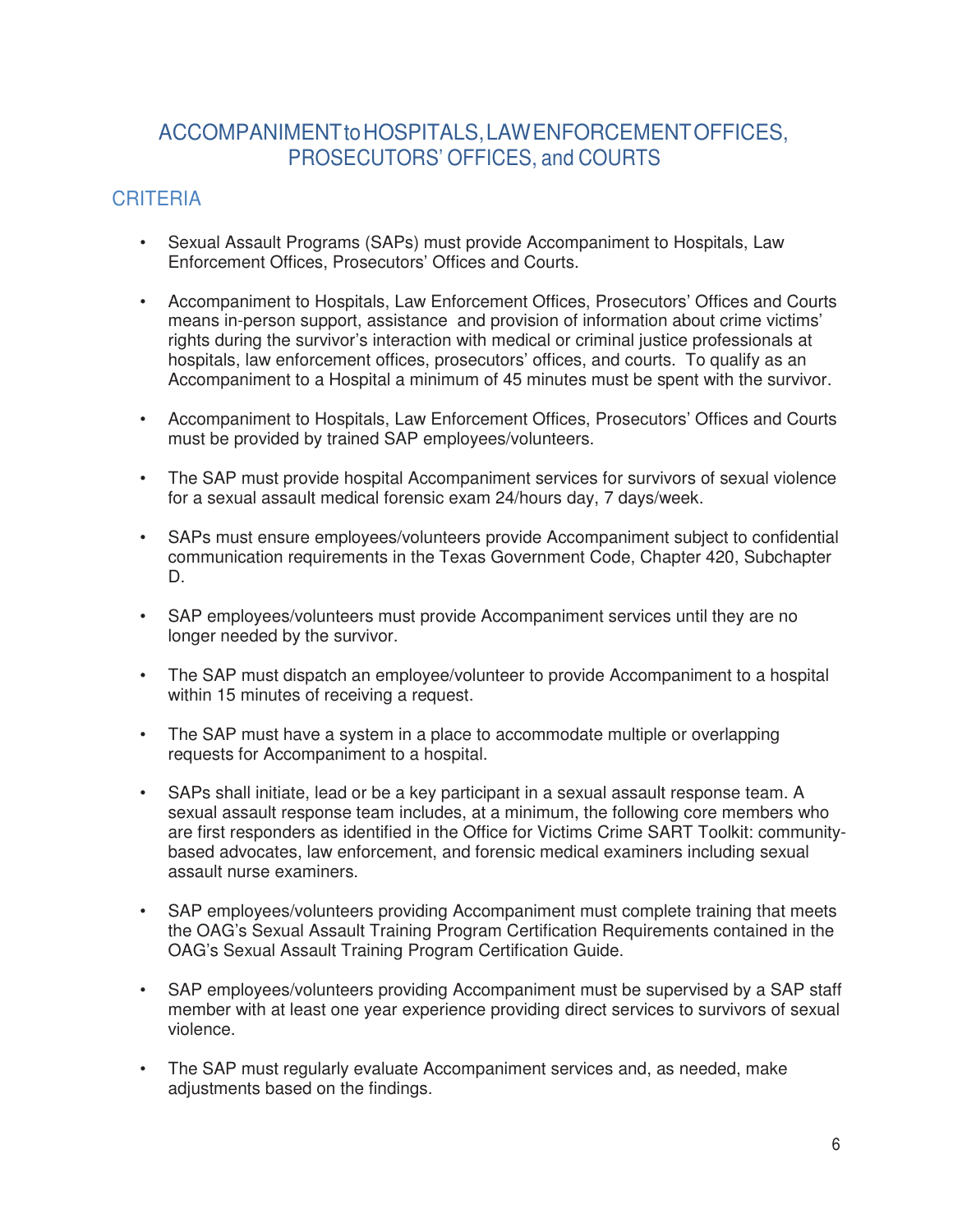### ACCOMPANIMENT to HOSPITALS, LAW ENFORCEMENT OFFICES, PROSECUTORS' OFFICES, and COURTS

- Sexual Assault Programs (SAPs) must provide Accompaniment to Hospitals, Law Enforcement Offices, Prosecutors' Offices and Courts.
- Accompaniment to Hospitals, Law Enforcement Offices, Prosecutors' Offices and Courts means in-person support, assistance and provision of information about crime victims' rights during the survivor's interaction with medical or criminal justice professionals at hospitals, law enforcement offices, prosecutors' offices, and courts. To qualify as an Accompaniment to a Hospital a minimum of 45 minutes must be spent with the survivor.
- Accompaniment to Hospitals, Law Enforcement Offices, Prosecutors' Offices and Courts must be provided by trained SAP employees/volunteers.
- The SAP must provide hospital Accompaniment services for survivors of sexual violence for a sexual assault medical forensic exam 24/hours day, 7 days/week.
- SAPs must ensure employees/volunteers provide Accompaniment subject to confidential communication requirements in the Texas Government Code, Chapter 420, Subchapter D.
- SAP employees/volunteers must provide Accompaniment services until they are no longer needed by the survivor.
- The SAP must dispatch an employee/volunteer to provide Accompaniment to a hospital within 15 minutes of receiving a request.
- The SAP must have a system in a place to accommodate multiple or overlapping requests for Accompaniment to a hospital.
- SAPs shall initiate, lead or be a key participant in a sexual assault response team. A sexual assault response team includes, at a minimum, the following core members who are first responders as identified in the Office for Victims Crime SART Toolkit: communitybased advocates, law enforcement, and forensic medical examiners including sexual assault nurse examiners.
- SAP employees/volunteers providing Accompaniment must complete training that meets the OAG's Sexual Assault Training Program Certification Requirements contained in the OAG's Sexual Assault Training Program Certification Guide.
- SAP employees/volunteers providing Accompaniment must be supervised by a SAP staff member with at least one year experience providing direct services to survivors of sexual violence.
- The SAP must regularly evaluate Accompaniment services and, as needed, make adiustments based on the findings.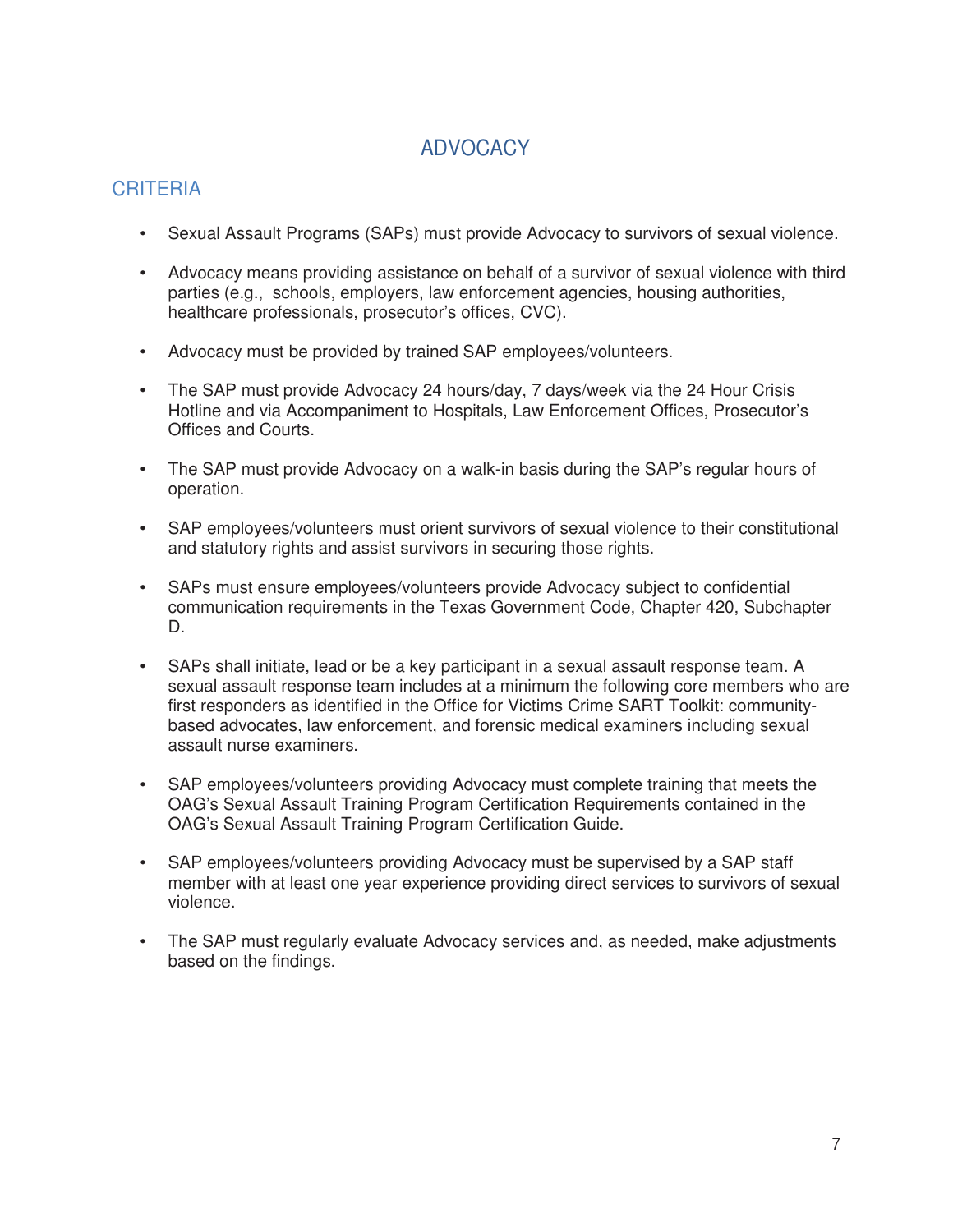# ADVOCACY

- Sexual Assault Programs (SAPs) must provide Advocacy to survivors of sexual violence.
- Advocacy means providing assistance on behalf of a survivor of sexual violence with third parties (e.g., schools, employers, law enforcement agencies, housing authorities, healthcare professionals, prosecutor's offices, CVC).
- Advocacy must be provided by trained SAP employees/volunteers.
- The SAP must provide Advocacy 24 hours/day, 7 days/week via the 24 Hour Crisis Hotline and via Accompaniment to Hospitals, Law Enforcement Offices, Prosecutor's Offices and Courts.
- The SAP must provide Advocacy on a walk-in basis during the SAP's regular hours of operation.
- SAP employees/volunteers must orient survivors of sexual violence to their constitutional and statutory rights and assist survivors in securing those rights.
- SAPs must ensure employees/volunteers provide Advocacy subject to confidential communication requirements in the Texas Government Code, Chapter 420, Subchapter D.
- SAPs shall initiate, lead or be a key participant in a sexual assault response team. A sexual assault response team includes at a minimum the following core members who are first responders as identified in the Office for Victims Crime SART Toolkit: communitybased advocates, law enforcement, and forensic medical examiners including sexual assault nurse examiners.
- SAP employees/volunteers providing Advocacy must complete training that meets the OAG's Sexual Assault Training Program Certification Requirements contained in the OAG's Sexual Assault Training Program Certification Guide.
- SAP employees/volunteers providing Advocacy must be supervised by a SAP staff member with at least one year experience providing direct services to survivors of sexual violence.
- The SAP must regularly evaluate Advocacy services and, as needed, make adjustments based on the findings.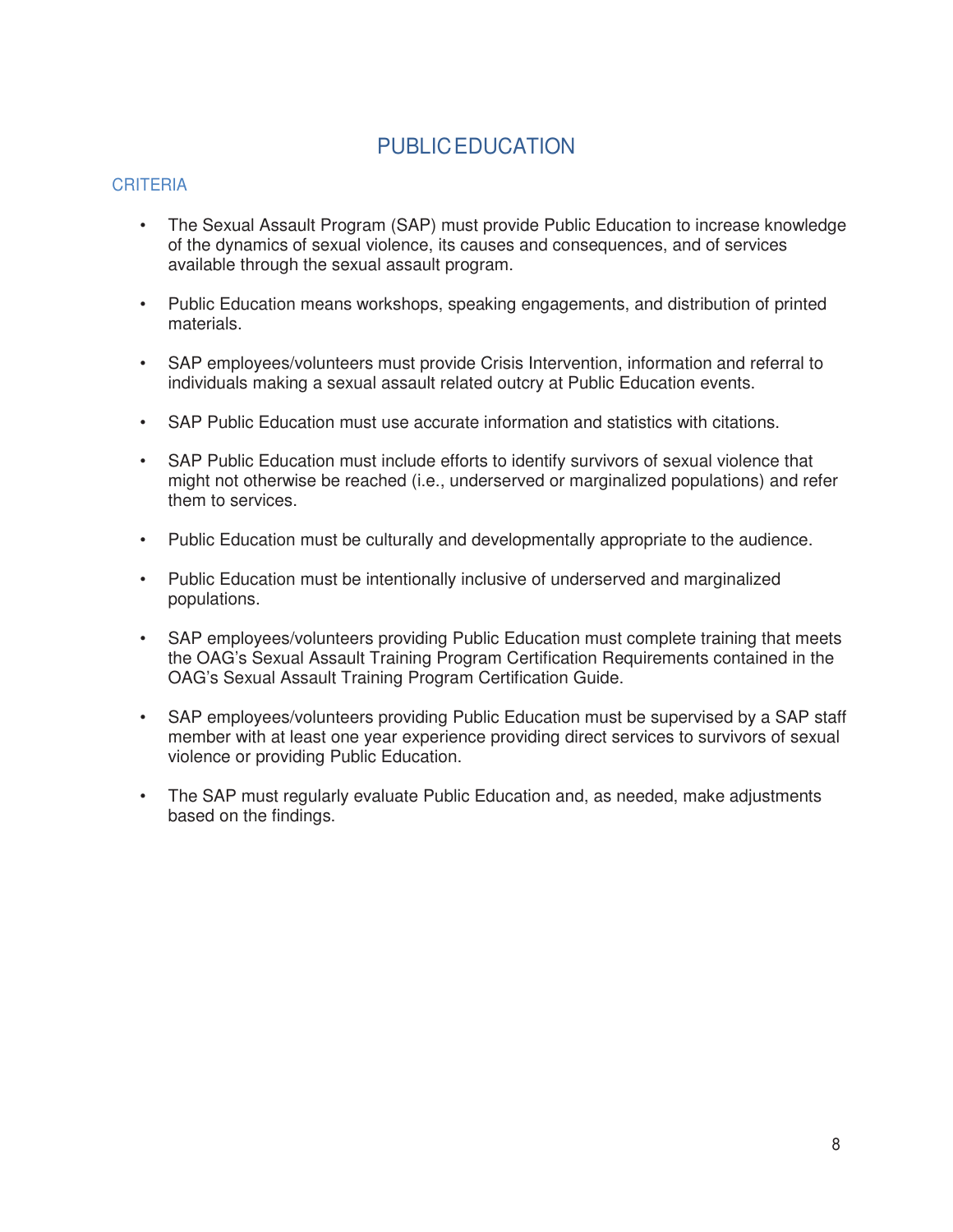# PUBLIC EDUCATION

- The Sexual Assault Program (SAP) must provide Public Education to increase knowledge of the dynamics of sexual violence, its causes and consequences, and of services available through the sexual assault program.
- Public Education means workshops, speaking engagements, and distribution of printed materials.
- SAP employees/volunteers must provide Crisis Intervention, information and referral to individuals making a sexual assault related outcry at Public Education events.
- SAP Public Education must use accurate information and statistics with citations.
- SAP Public Education must include efforts to identify survivors of sexual violence that might not otherwise be reached (i.e., underserved or marginalized populations) and refer them to services.
- Public Education must be culturally and developmentally appropriate to the audience.
- Public Education must be intentionally inclusive of underserved and marginalized populations.
- SAP employees/volunteers providing Public Education must complete training that meets the OAG's Sexual Assault Training Program Certification Requirements contained in the OAG's Sexual Assault Training Program Certification Guide.
- SAP employees/volunteers providing Public Education must be supervised by a SAP staff member with at least one year experience providing direct services to survivors of sexual violence or providing Public Education.
- The SAP must regularly evaluate Public Education and, as needed, make adjustments based on the findings.